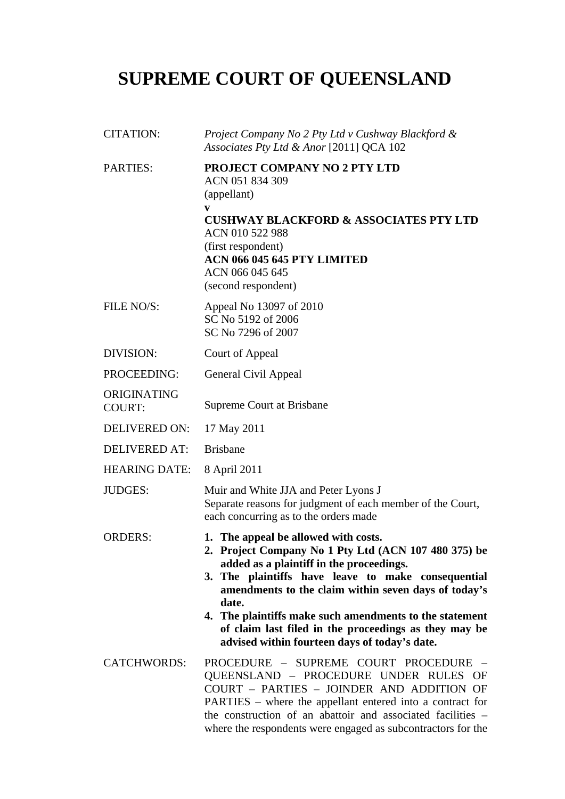# **SUPREME COURT OF QUEENSLAND**

| <b>CITATION:</b>             | Project Company No 2 Pty Ltd v Cushway Blackford &<br>Associates Pty Ltd & Anor [2011] QCA 102                                                                                                                                                                                                                                                                                                                                       |
|------------------------------|--------------------------------------------------------------------------------------------------------------------------------------------------------------------------------------------------------------------------------------------------------------------------------------------------------------------------------------------------------------------------------------------------------------------------------------|
| <b>PARTIES:</b>              | PROJECT COMPANY NO 2 PTY LTD<br>ACN 051 834 309<br>(appellant)<br>V<br><b>CUSHWAY BLACKFORD &amp; ASSOCIATES PTY LTD</b><br>ACN 010 522 988<br>(first respondent)<br><b>ACN 066 045 645 PTY LIMITED</b><br>ACN 066 045 645<br>(second respondent)                                                                                                                                                                                    |
| FILE NO/S:                   | Appeal No 13097 of 2010<br>SC No 5192 of 2006<br>SC No 7296 of 2007                                                                                                                                                                                                                                                                                                                                                                  |
| DIVISION:                    | Court of Appeal                                                                                                                                                                                                                                                                                                                                                                                                                      |
| PROCEEDING:                  | General Civil Appeal                                                                                                                                                                                                                                                                                                                                                                                                                 |
| ORIGINATING<br><b>COURT:</b> | <b>Supreme Court at Brisbane</b>                                                                                                                                                                                                                                                                                                                                                                                                     |
| <b>DELIVERED ON:</b>         | 17 May 2011                                                                                                                                                                                                                                                                                                                                                                                                                          |
| <b>DELIVERED AT:</b>         | <b>Brisbane</b>                                                                                                                                                                                                                                                                                                                                                                                                                      |
| <b>HEARING DATE:</b>         | 8 April 2011                                                                                                                                                                                                                                                                                                                                                                                                                         |
| <b>JUDGES:</b>               | Muir and White JJA and Peter Lyons J<br>Separate reasons for judgment of each member of the Court,<br>each concurring as to the orders made                                                                                                                                                                                                                                                                                          |
| <b>ORDERS:</b>               | 1. The appeal be allowed with costs.<br>2. Project Company No 1 Pty Ltd (ACN 107 480 375) be<br>added as a plaintiff in the proceedings.<br>3. The plaintiffs have leave to make consequential<br>amendments to the claim within seven days of today's<br>date.<br>4. The plaintiffs make such amendments to the statement<br>of claim last filed in the proceedings as they may be<br>advised within fourteen days of today's date. |
| <b>CATCHWORDS:</b>           | PROCEDURE - SUPREME COURT PROCEDURE -<br>QUEENSLAND - PROCEDURE UNDER RULES OF<br>COURT - PARTIES - JOINDER AND ADDITION OF<br>PARTIES – where the appellant entered into a contract for<br>the construction of an abattoir and associated facilities –<br>where the respondents were engaged as subcontractors for the                                                                                                              |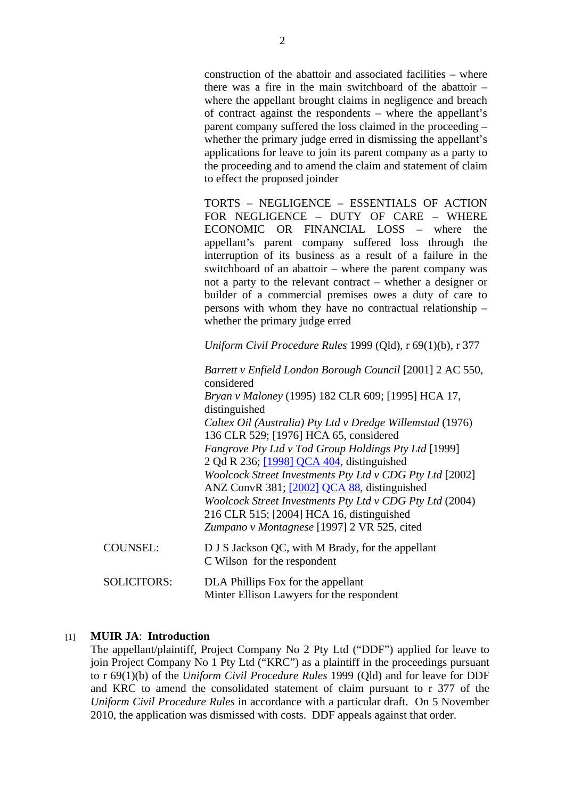construction of the abattoir and associated facilities – where there was a fire in the main switchboard of the abattoir – where the appellant brought claims in negligence and breach of contract against the respondents – where the appellant's parent company suffered the loss claimed in the proceeding – whether the primary judge erred in dismissing the appellant's applications for leave to join its parent company as a party to the proceeding and to amend the claim and statement of claim to effect the proposed joinder

TORTS – NEGLIGENCE – ESSENTIALS OF ACTION FOR NEGLIGENCE – DUTY OF CARE – WHERE ECONOMIC OR FINANCIAL LOSS – where the appellant's parent company suffered loss through the interruption of its business as a result of a failure in the switchboard of an abattoir – where the parent company was not a party to the relevant contract – whether a designer or builder of a commercial premises owes a duty of care to persons with whom they have no contractual relationship – whether the primary judge erred

*Uniform Civil Procedure Rules* 1999 (Qld), r 69(1)(b), r 377

|                    | Barrett v Enfield London Borough Council [2001] 2 AC 550,<br>considered                                                                              |
|--------------------|------------------------------------------------------------------------------------------------------------------------------------------------------|
|                    | Bryan v Maloney (1995) 182 CLR 609; [1995] HCA 17,<br>distinguished                                                                                  |
|                    | Caltex Oil (Australia) Pty Ltd v Dredge Willemstad (1976)<br>136 CLR 529; [1976] HCA 65, considered                                                  |
|                    | Fangrove Pty Ltd v Tod Group Holdings Pty Ltd [1999]                                                                                                 |
|                    | 2 Qd R 236; [1998] QCA 404, distinguished<br>Woolcock Street Investments Pty Ltd v CDG Pty Ltd [2002]<br>ANZ ConvR 381; [2002] QCA 88, distinguished |
|                    | Woolcock Street Investments Pty Ltd v CDG Pty Ltd (2004)<br>216 CLR 515; [2004] HCA 16, distinguished                                                |
|                    | Zumpano v Montagnese [1997] 2 VR 525, cited                                                                                                          |
| <b>COUNSEL:</b>    | D J S Jackson QC, with M Brady, for the appellant<br>C Wilson for the respondent                                                                     |
| <b>SOLICITORS:</b> | DLA Phillips Fox for the appellant<br>Minter Ellison Lawyers for the respondent                                                                      |
|                    |                                                                                                                                                      |

## [1] **MUIR JA**: **Introduction**

The appellant/plaintiff, Project Company No 2 Pty Ltd ("DDF") applied for leave to join Project Company No 1 Pty Ltd ("KRC") as a plaintiff in the proceedings pursuant to r 69(1)(b) of the *Uniform Civil Procedure Rules* 1999 (Qld) and for leave for DDF and KRC to amend the consolidated statement of claim pursuant to r 377 of the *Uniform Civil Procedure Rules* in accordance with a particular draft. On 5 November 2010, the application was dismissed with costs. DDF appeals against that order.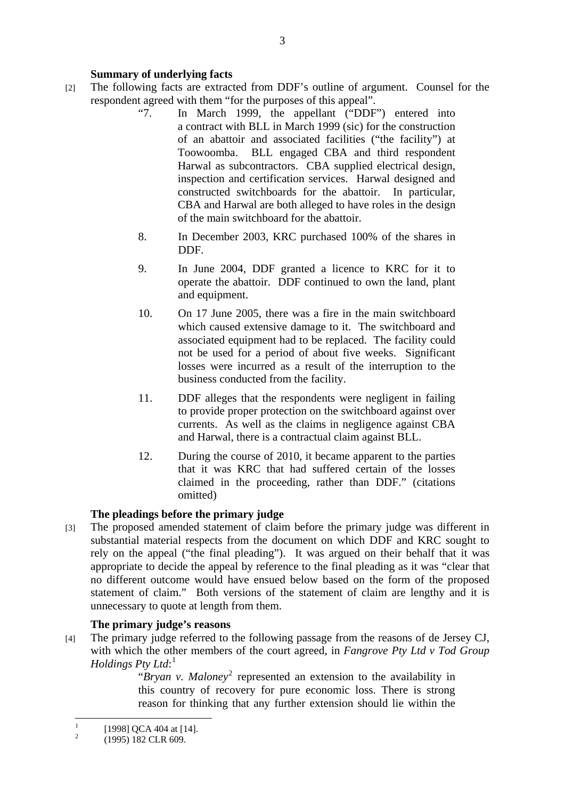# **Summary of underlying facts**

- [2] The following facts are extracted from DDF's outline of argument. Counsel for the respondent agreed with them "for the purposes of this appeal".
	- "7. In March 1999, the appellant ("DDF") entered into a contract with BLL in March 1999 (sic) for the construction of an abattoir and associated facilities ("the facility") at Toowoomba. BLL engaged CBA and third respondent Harwal as subcontractors. CBA supplied electrical design, inspection and certification services. Harwal designed and constructed switchboards for the abattoir. In particular, CBA and Harwal are both alleged to have roles in the design of the main switchboard for the abattoir.
	- 8. In December 2003, KRC purchased 100% of the shares in DDF.
	- 9. In June 2004, DDF granted a licence to KRC for it to operate the abattoir. DDF continued to own the land, plant and equipment.
	- 10. On 17 June 2005, there was a fire in the main switchboard which caused extensive damage to it. The switchboard and associated equipment had to be replaced. The facility could not be used for a period of about five weeks. Significant losses were incurred as a result of the interruption to the business conducted from the facility.
	- 11. DDF alleges that the respondents were negligent in failing to provide proper protection on the switchboard against over currents. As well as the claims in negligence against CBA and Harwal, there is a contractual claim against BLL.
	- 12. During the course of 2010, it became apparent to the parties that it was KRC that had suffered certain of the losses claimed in the proceeding, rather than DDF." (citations omitted)

## **The pleadings before the primary judge**

[3] The proposed amended statement of claim before the primary judge was different in substantial material respects from the document on which DDF and KRC sought to rely on the appeal ("the final pleading"). It was argued on their behalf that it was appropriate to decide the appeal by reference to the final pleading as it was "clear that no different outcome would have ensued below based on the form of the proposed statement of claim." Both versions of the statement of claim are lengthy and it is unnecessary to quote at length from them.

# **The primary judge's reasons**

[4] The primary judge referred to the following passage from the reasons of de Jersey CJ, with which the other members of the court agreed, in *Fangrove Pty Ltd v Tod Group Holdings Pty Ltd*: 1

"Bryan v. Maloney<sup>2</sup> represented an extension to the availability in this country of recovery for pure economic loss. There is strong reason for thinking that any further extension should lie within the

 $\frac{1}{1}$ [1998] OCA 404 at [14].

 $\overline{2}$ (1995) 182 CLR 609.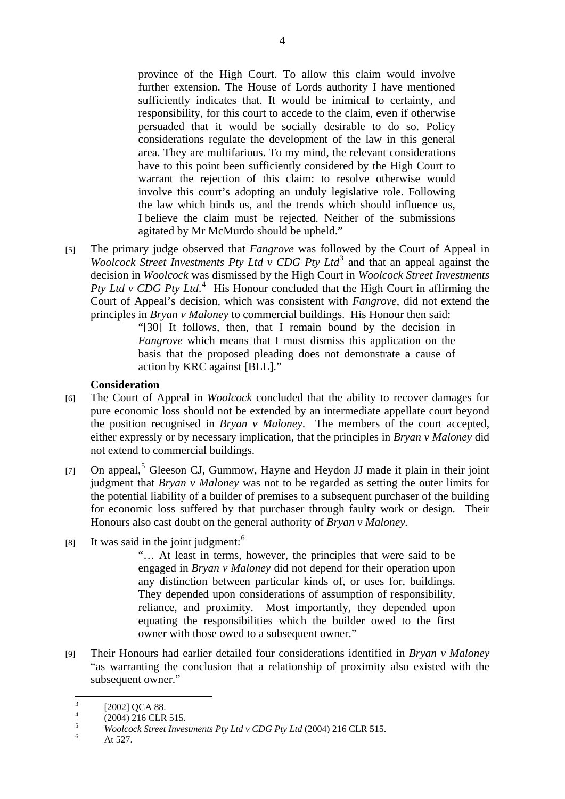province of the High Court. To allow this claim would involve further extension. The House of Lords authority I have mentioned sufficiently indicates that. It would be inimical to certainty, and responsibility, for this court to accede to the claim, even if otherwise persuaded that it would be socially desirable to do so. Policy considerations regulate the development of the law in this general area. They are multifarious. To my mind, the relevant considerations have to this point been sufficiently considered by the High Court to warrant the rejection of this claim: to resolve otherwise would involve this court's adopting an unduly legislative role. Following the law which binds us, and the trends which should influence us, I believe the claim must be rejected. Neither of the submissions agitated by Mr McMurdo should be upheld."

[5] The primary judge observed that *Fangrove* was followed by the Court of Appeal in *Woolcock Street Investments Pty Ltd v CDG Pty Ltd*<sup>3</sup> and that an appeal against the decision in *Woolcock* was dismissed by the High Court in *Woolcock Street Investments*  Pty Ltd v CDG Pty Ltd.<sup>4</sup> His Honour concluded that the High Court in affirming the Court of Appeal's decision, which was consistent with *Fangrove*, did not extend the principles in *Bryan v Maloney* to commercial buildings. His Honour then said:

> "[30] It follows, then, that I remain bound by the decision in *Fangrove* which means that I must dismiss this application on the basis that the proposed pleading does not demonstrate a cause of action by KRC against [BLL]."

#### **Consideration**

- [6] The Court of Appeal in *Woolcock* concluded that the ability to recover damages for pure economic loss should not be extended by an intermediate appellate court beyond the position recognised in *Bryan v Maloney*. The members of the court accepted, either expressly or by necessary implication, that the principles in *Bryan v Maloney* did not extend to commercial buildings.
- [7] On appeal,<sup>5</sup> Gleeson CJ, Gummow, Hayne and Heydon JJ made it plain in their joint judgment that *Bryan v Maloney* was not to be regarded as setting the outer limits for the potential liability of a builder of premises to a subsequent purchaser of the building for economic loss suffered by that purchaser through faulty work or design. Their Honours also cast doubt on the general authority of *Bryan v Maloney.*
- $[8]$  It was said in the joint judgment:<sup>6</sup>

"… At least in terms, however, the principles that were said to be engaged in *Bryan v Maloney* did not depend for their operation upon any distinction between particular kinds of, or uses for, buildings. They depended upon considerations of assumption of responsibility, reliance, and proximity. Most importantly, they depended upon equating the responsibilities which the builder owed to the first owner with those owed to a subsequent owner."

[9] Their Honours had earlier detailed four considerations identified in *Bryan v Maloney* "as warranting the conclusion that a relationship of proximity also existed with the subsequent owner."

 3 [2002] QCA 88.

<sup>4</sup> (2004) 216 CLR 515.

<sup>5</sup> <sup>5</sup> *Woolcock Street Investments Pty Ltd v CDG Pty Ltd* (2004) 216 CLR 515.

At 527.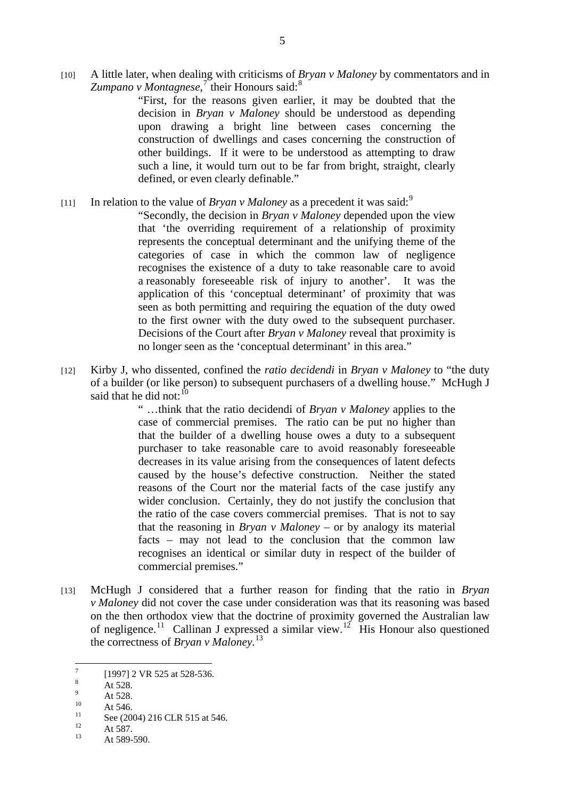[10] A little later, when dealing with criticisms of *Bryan v Maloney* by commentators and in Zumpano v Montagnese,<sup>7</sup> their Honours said:<sup>8</sup>

> "First, for the reasons given earlier, it may be doubted that the decision in *Bryan v Maloney* should be understood as depending upon drawing a bright line between cases concerning the construction of dwellings and cases concerning the construction of other buildings. If it were to be understood as attempting to draw such a line, it would turn out to be far from bright, straight, clearly defined, or even clearly definable."

[11] In relation to the value of *Bryan v Maloney* as a precedent it was said:<sup>9</sup>

"Secondly, the decision in *Bryan v Maloney* depended upon the view that 'the overriding requirement of a relationship of proximity represents the conceptual determinant and the unifying theme of the categories of case in which the common law of negligence recognises the existence of a duty to take reasonable care to avoid a reasonably foreseeable risk of injury to another'. It was the application of this 'conceptual determinant' of proximity that was seen as both permitting and requiring the equation of the duty owed to the first owner with the duty owed to the subsequent purchaser. Decisions of the Court after *Bryan v Maloney* reveal that proximity is no longer seen as the 'conceptual determinant' in this area."

[12] Kirby J, who dissented, confined the *ratio decidendi* in *Bryan v Maloney* to "the duty of a builder (or like person) to subsequent purchasers of a dwelling house." McHugh J said that he did not:  $10$ 

> " …think that the ratio decidendi of *Bryan v Maloney* applies to the case of commercial premises. The ratio can be put no higher than that the builder of a dwelling house owes a duty to a subsequent purchaser to take reasonable care to avoid reasonably foreseeable decreases in its value arising from the consequences of latent defects caused by the house's defective construction. Neither the stated reasons of the Court nor the material facts of the case justify any wider conclusion. Certainly, they do not justify the conclusion that the ratio of the case covers commercial premises. That is not to say that the reasoning in *Bryan v Maloney* – or by analogy its material facts – may not lead to the conclusion that the common law recognises an identical or similar duty in respect of the builder of commercial premises."

[13] McHugh J considered that a further reason for finding that the ratio in *Bryan v Maloney* did not cover the case under consideration was that its reasoning was based on the then orthodox view that the doctrine of proximity governed the Australian law of negligence.<sup>11</sup> Callinan J expressed a similar view.<sup>12</sup> His Honour also questioned the correctness of *Bryan v Maloney.*<sup>13</sup>

 $\frac{1}{7}$ [1997] 2 VR 525 at 528-536.

<sup>8</sup> At 528.

<sup>9</sup>  $^{9}$  At 528.

 $10$  At 546.

 $\frac{11}{12}$  See (2004) 216 CLR 515 at 546.

 $12$  At 587.

At 589-590.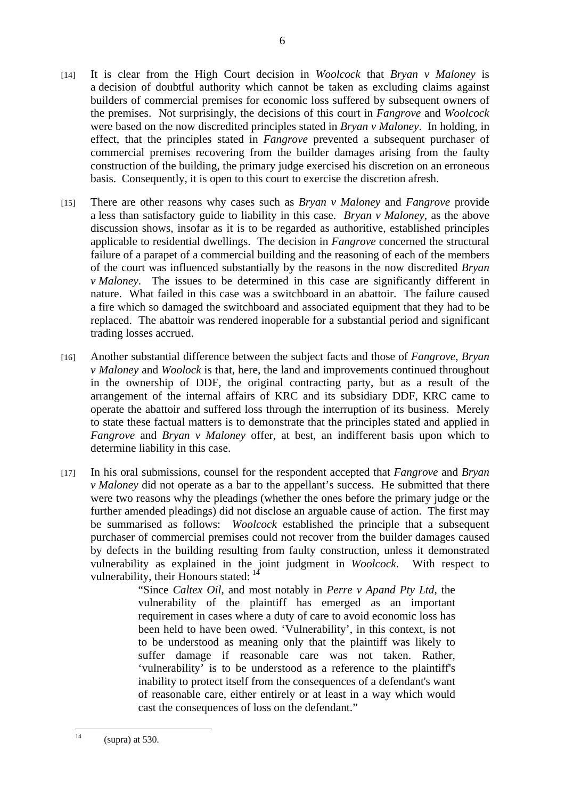- [14] It is clear from the High Court decision in *Woolcock* that *Bryan v Maloney* is a decision of doubtful authority which cannot be taken as excluding claims against builders of commercial premises for economic loss suffered by subsequent owners of the premises. Not surprisingly, the decisions of this court in *Fangrove* and *Woolcock*  were based on the now discredited principles stated in *Bryan v Maloney*. In holding, in effect, that the principles stated in *Fangrove* prevented a subsequent purchaser of commercial premises recovering from the builder damages arising from the faulty construction of the building, the primary judge exercised his discretion on an erroneous basis. Consequently, it is open to this court to exercise the discretion afresh.
- [15] There are other reasons why cases such as *Bryan v Maloney* and *Fangrove* provide a less than satisfactory guide to liability in this case. *Bryan v Maloney*, as the above discussion shows, insofar as it is to be regarded as authoritive, established principles applicable to residential dwellings. The decision in *Fangrove* concerned the structural failure of a parapet of a commercial building and the reasoning of each of the members of the court was influenced substantially by the reasons in the now discredited *Bryan v Maloney*. The issues to be determined in this case are significantly different in nature. What failed in this case was a switchboard in an abattoir. The failure caused a fire which so damaged the switchboard and associated equipment that they had to be replaced. The abattoir was rendered inoperable for a substantial period and significant trading losses accrued.
- [16] Another substantial difference between the subject facts and those of *Fangrove*, *Bryan v Maloney* and *Woolock* is that, here, the land and improvements continued throughout in the ownership of DDF, the original contracting party, but as a result of the arrangement of the internal affairs of KRC and its subsidiary DDF, KRC came to operate the abattoir and suffered loss through the interruption of its business. Merely to state these factual matters is to demonstrate that the principles stated and applied in *Fangrove* and *Bryan v Maloney* offer, at best, an indifferent basis upon which to determine liability in this case.
- [17] In his oral submissions, counsel for the respondent accepted that *Fangrove* and *Bryan v Maloney* did not operate as a bar to the appellant's success. He submitted that there were two reasons why the pleadings (whether the ones before the primary judge or the further amended pleadings) did not disclose an arguable cause of action. The first may be summarised as follows: *Woolcock* established the principle that a subsequent purchaser of commercial premises could not recover from the builder damages caused by defects in the building resulting from faulty construction, unless it demonstrated vulnerability as explained in the joint judgment in *Woolcock*. With respect to vulnerability, their Honours stated: <sup>14</sup>

"Since *Caltex Oil*, and most notably in *Perre v Apand Pty Ltd*, the vulnerability of the plaintiff has emerged as an important requirement in cases where a duty of care to avoid economic loss has been held to have been owed. 'Vulnerability', in this context, is not to be understood as meaning only that the plaintiff was likely to suffer damage if reasonable care was not taken. Rather, 'vulnerability' is to be understood as a reference to the plaintiff's inability to protect itself from the consequences of a defendant's want of reasonable care, either entirely or at least in a way which would cast the consequences of loss on the defendant."

 $14$  $(s$ upra) at 530.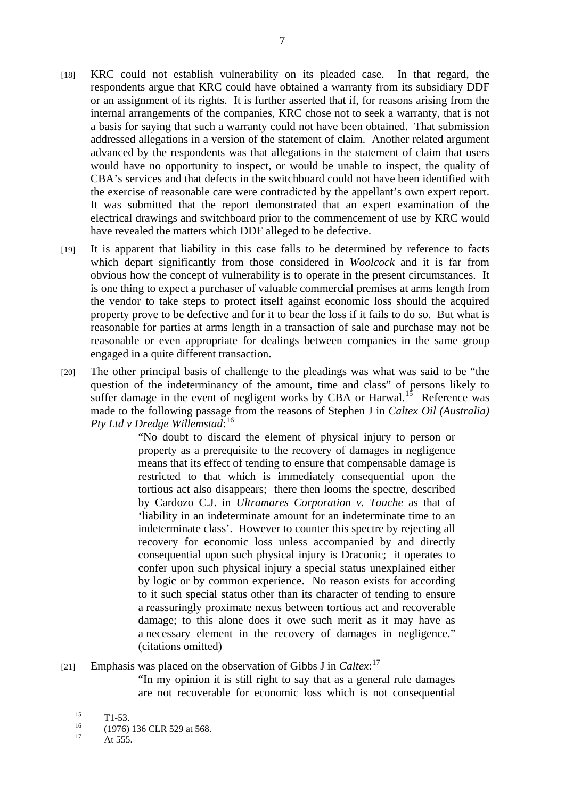- [18] KRC could not establish vulnerability on its pleaded case. In that regard, the respondents argue that KRC could have obtained a warranty from its subsidiary DDF or an assignment of its rights. It is further asserted that if, for reasons arising from the internal arrangements of the companies, KRC chose not to seek a warranty, that is not a basis for saying that such a warranty could not have been obtained. That submission addressed allegations in a version of the statement of claim. Another related argument advanced by the respondents was that allegations in the statement of claim that users would have no opportunity to inspect, or would be unable to inspect, the quality of CBA's services and that defects in the switchboard could not have been identified with the exercise of reasonable care were contradicted by the appellant's own expert report. It was submitted that the report demonstrated that an expert examination of the electrical drawings and switchboard prior to the commencement of use by KRC would have revealed the matters which DDF alleged to be defective.
- [19] It is apparent that liability in this case falls to be determined by reference to facts which depart significantly from those considered in *Woolcock* and it is far from obvious how the concept of vulnerability is to operate in the present circumstances. It is one thing to expect a purchaser of valuable commercial premises at arms length from the vendor to take steps to protect itself against economic loss should the acquired property prove to be defective and for it to bear the loss if it fails to do so. But what is reasonable for parties at arms length in a transaction of sale and purchase may not be reasonable or even appropriate for dealings between companies in the same group engaged in a quite different transaction.
- [20] The other principal basis of challenge to the pleadings was what was said to be "the question of the indeterminancy of the amount, time and class" of persons likely to suffer damage in the event of negligent works by CBA or Harwal.<sup>15</sup> Reference was made to the following passage from the reasons of Stephen J in *Caltex Oil (Australia) Pty Ltd v Dredge Willemstad*: 16

"No doubt to discard the element of physical injury to person or property as a prerequisite to the recovery of damages in negligence means that its effect of tending to ensure that compensable damage is restricted to that which is immediately consequential upon the tortious act also disappears; there then looms the spectre, described by Cardozo C.J. in *Ultramares Corporation v. Touche* as that of 'liability in an indeterminate amount for an indeterminate time to an indeterminate class'. However to counter this spectre by rejecting all recovery for economic loss unless accompanied by and directly consequential upon such physical injury is Draconic; it operates to confer upon such physical injury a special status unexplained either by logic or by common experience. No reason exists for according to it such special status other than its character of tending to ensure a reassuringly proximate nexus between tortious act and recoverable damage; to this alone does it owe such merit as it may have as a necessary element in the recovery of damages in negligence." (citations omitted)

[21] Emphasis was placed on the observation of Gibbs J in *Caltex*: 17

"In my opinion it is still right to say that as a general rule damages are not recoverable for economic loss which is not consequential

 $15$  $\frac{15}{16}$  T1-53.

 $^{16}$  (1976) 136 CLR 529 at 568.

At 555.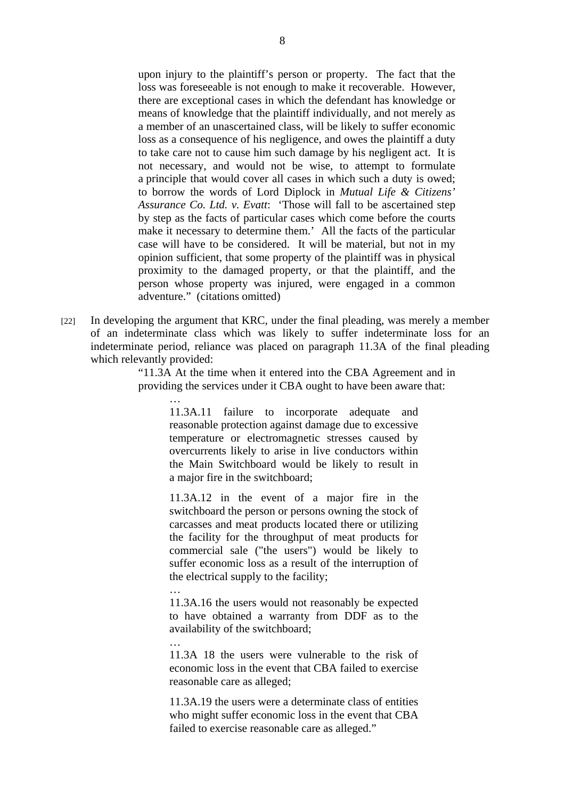upon injury to the plaintiff's person or property. The fact that the loss was foreseeable is not enough to make it recoverable. However, there are exceptional cases in which the defendant has knowledge or means of knowledge that the plaintiff individually, and not merely as a member of an unascertained class, will be likely to suffer economic loss as a consequence of his negligence, and owes the plaintiff a duty to take care not to cause him such damage by his negligent act. It is not necessary, and would not be wise, to attempt to formulate a principle that would cover all cases in which such a duty is owed; to borrow the words of Lord Diplock in *Mutual Life & Citizens' Assurance Co. Ltd. v. Evatt*: 'Those will fall to be ascertained step by step as the facts of particular cases which come before the courts make it necessary to determine them.' All the facts of the particular case will have to be considered. It will be material, but not in my opinion sufficient, that some property of the plaintiff was in physical proximity to the damaged property, or that the plaintiff, and the person whose property was injured, were engaged in a common adventure." (citations omitted)

[22] In developing the argument that KRC, under the final pleading, was merely a member of an indeterminate class which was likely to suffer indeterminate loss for an indeterminate period, reliance was placed on paragraph 11.3A of the final pleading which relevantly provided:

…

…

…

"11.3A At the time when it entered into the CBA Agreement and in providing the services under it CBA ought to have been aware that:

11.3A.11 failure to incorporate adequate and reasonable protection against damage due to excessive temperature or electromagnetic stresses caused by overcurrents likely to arise in live conductors within the Main Switchboard would be likely to result in a major fire in the switchboard;

11.3A.12 in the event of a major fire in the switchboard the person or persons owning the stock of carcasses and meat products located there or utilizing the facility for the throughput of meat products for commercial sale ("the users") would be likely to suffer economic loss as a result of the interruption of the electrical supply to the facility;

11.3A.16 the users would not reasonably be expected to have obtained a warranty from DDF as to the availability of the switchboard;

11.3A 18 the users were vulnerable to the risk of economic loss in the event that CBA failed to exercise reasonable care as alleged;

11.3A.19 the users were a determinate class of entities who might suffer economic loss in the event that CBA failed to exercise reasonable care as alleged."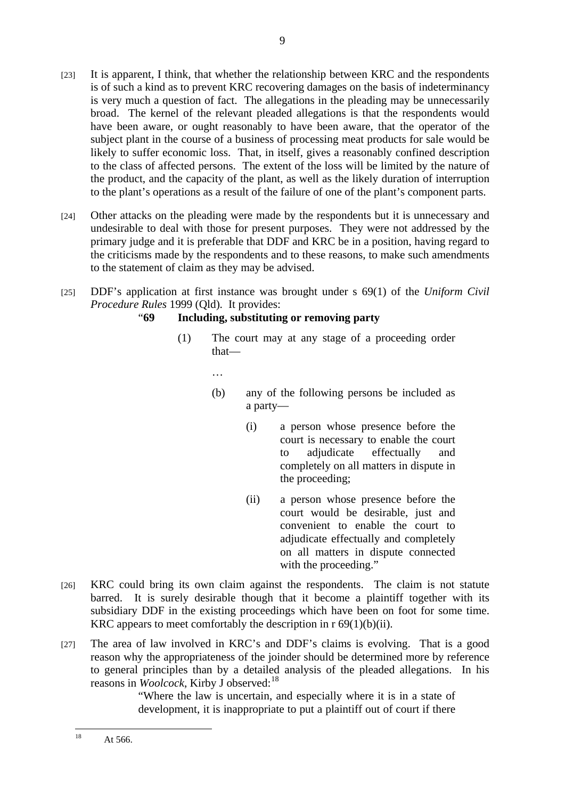- [23] It is apparent, I think, that whether the relationship between KRC and the respondents is of such a kind as to prevent KRC recovering damages on the basis of indeterminancy is very much a question of fact. The allegations in the pleading may be unnecessarily broad. The kernel of the relevant pleaded allegations is that the respondents would have been aware, or ought reasonably to have been aware, that the operator of the subject plant in the course of a business of processing meat products for sale would be likely to suffer economic loss. That, in itself, gives a reasonably confined description to the class of affected persons. The extent of the loss will be limited by the nature of the product, and the capacity of the plant, as well as the likely duration of interruption to the plant's operations as a result of the failure of one of the plant's component parts.
- [24] Other attacks on the pleading were made by the respondents but it is unnecessary and undesirable to deal with those for present purposes. They were not addressed by the primary judge and it is preferable that DDF and KRC be in a position, having regard to the criticisms made by the respondents and to these reasons, to make such amendments to the statement of claim as they may be advised.
- [25] DDF's application at first instance was brought under s 69(1) of the *Uniform Civil Procedure Rules* 1999 (Qld)*.* It provides:

# "**69 Including, substituting or removing party**

(1) The court may at any stage of a proceeding order that—

…

- (b) any of the following persons be included as a party—
	- (i) a person whose presence before the court is necessary to enable the court to adjudicate effectually and completely on all matters in dispute in the proceeding;
	- (ii) a person whose presence before the court would be desirable, just and convenient to enable the court to adjudicate effectually and completely on all matters in dispute connected with the proceeding."
- [26] KRC could bring its own claim against the respondents. The claim is not statute barred. It is surely desirable though that it become a plaintiff together with its subsidiary DDF in the existing proceedings which have been on foot for some time. KRC appears to meet comfortably the description in  $r \frac{69(1)}{b}$ ii).
- [27] The area of law involved in KRC's and DDF's claims is evolving. That is a good reason why the appropriateness of the joinder should be determined more by reference to general principles than by a detailed analysis of the pleaded allegations. In his reasons in *Woolcock*, Kirby J observed:<sup>18</sup>

"Where the law is uncertain, and especially where it is in a state of development, it is inappropriate to put a plaintiff out of court if there

 $\overline{18}$ At 566.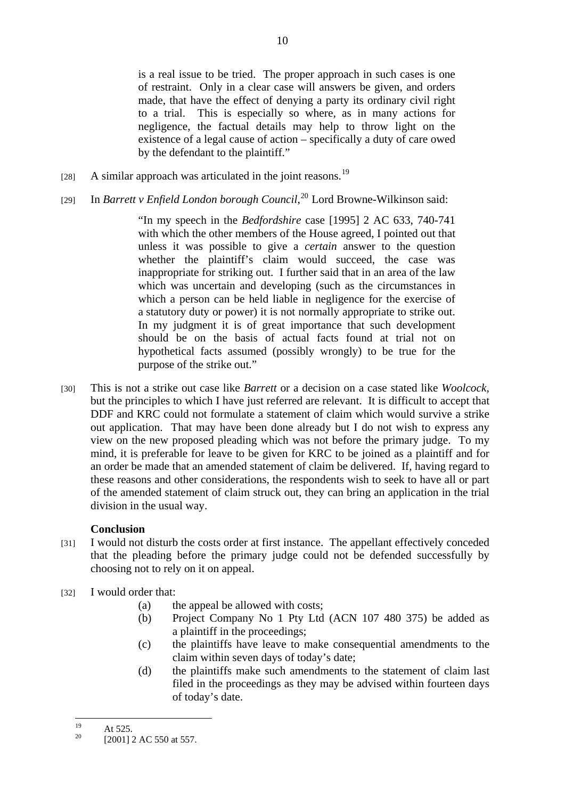is a real issue to be tried. The proper approach in such cases is one of restraint. Only in a clear case will answers be given, and orders made, that have the effect of denying a party its ordinary civil right to a trial. This is especially so where, as in many actions for negligence, the factual details may help to throw light on the existence of a legal cause of action – specifically a duty of care owed by the defendant to the plaintiff."

- [28] A similar approach was articulated in the joint reasons.<sup>19</sup>
- [29] In *Barrett v Enfield London borough Council*,<sup>20</sup> Lord Browne-Wilkinson said:

"In my speech in the *Bedfordshire* case [1995] 2 AC 633, 740-741 with which the other members of the House agreed, I pointed out that unless it was possible to give a *certain* answer to the question whether the plaintiff's claim would succeed, the case was inappropriate for striking out. I further said that in an area of the law which was uncertain and developing (such as the circumstances in which a person can be held liable in negligence for the exercise of a statutory duty or power) it is not normally appropriate to strike out. In my judgment it is of great importance that such development should be on the basis of actual facts found at trial not on hypothetical facts assumed (possibly wrongly) to be true for the purpose of the strike out."

[30] This is not a strike out case like *Barrett* or a decision on a case stated like *Woolcock*, but the principles to which I have just referred are relevant. It is difficult to accept that DDF and KRC could not formulate a statement of claim which would survive a strike out application. That may have been done already but I do not wish to express any view on the new proposed pleading which was not before the primary judge. To my mind, it is preferable for leave to be given for KRC to be joined as a plaintiff and for an order be made that an amended statement of claim be delivered. If, having regard to these reasons and other considerations, the respondents wish to seek to have all or part of the amended statement of claim struck out, they can bring an application in the trial division in the usual way.

## **Conclusion**

- [31] I would not disturb the costs order at first instance. The appellant effectively conceded that the pleading before the primary judge could not be defended successfully by choosing not to rely on it on appeal.
- [32] I would order that:
	- (a) the appeal be allowed with costs;
	- (b) Project Company No 1 Pty Ltd (ACN 107 480 375) be added as a plaintiff in the proceedings;
	- (c) the plaintiffs have leave to make consequential amendments to the claim within seven days of today's date;
	- (d) the plaintiffs make such amendments to the statement of claim last filed in the proceedings as they may be advised within fourteen days of today's date.

<sup>19</sup>  $19$  At 525.

<sup>[2001] 2</sup> AC 550 at 557.